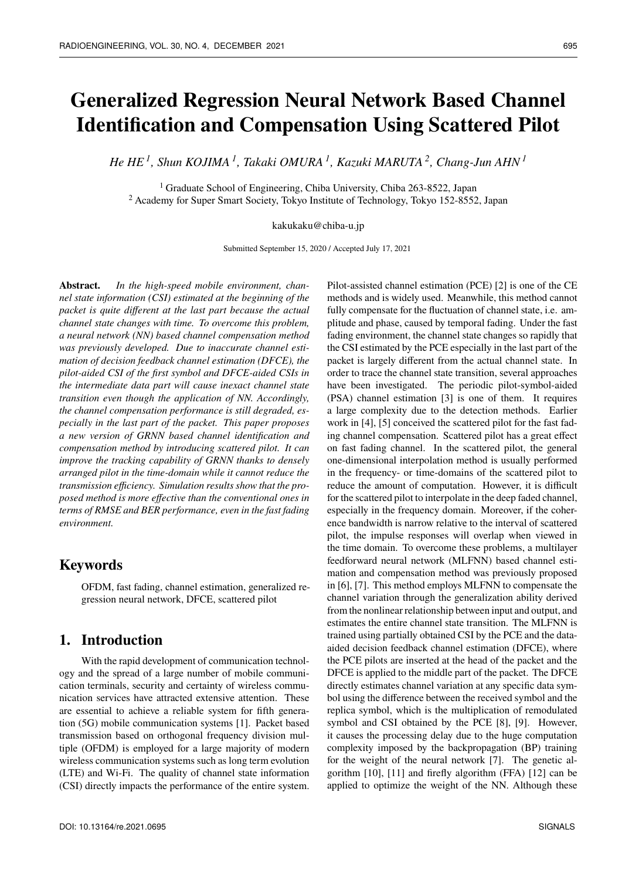# **Generalized Regression Neural Network Based Channel Identification and Compensation Using Scattered Pilot**

*He HE <sup>1</sup> , Shun KOJIMA <sup>1</sup> , Takaki OMURA <sup>1</sup> , Kazuki MARUTA <sup>2</sup> , Chang-Jun AHN<sup>1</sup>*

<sup>1</sup> Graduate School of Engineering, Chiba University, Chiba 263-8522, Japan <sup>2</sup> Academy for Super Smart Society, Tokyo Institute of Technology, Tokyo 152-8552, Japan

#### kakukaku@chiba-u.jp

Submitted September 15, 2020 / Accepted July 17, 2021

**Abstract.** *In the high-speed mobile environment, channel state information (CSI) estimated at the beginning of the packet is quite different at the last part because the actual channel state changes with time. To overcome this problem, a neural network (NN) based channel compensation method was previously developed. Due to inaccurate channel estimation of decision feedback channel estimation (DFCE), the pilot-aided CSI of the first symbol and DFCE-aided CSIs in the intermediate data part will cause inexact channel state transition even though the application of NN. Accordingly, the channel compensation performance is still degraded, especially in the last part of the packet. This paper proposes a new version of GRNN based channel identification and compensation method by introducing scattered pilot. It can improve the tracking capability of GRNN thanks to densely arranged pilot in the time-domain while it cannot reduce the transmission efficiency. Simulation results show that the proposed method is more effective than the conventional ones in terms of RMSE and BER performance, even in the fast fading environment.*

# **Keywords**

OFDM, fast fading, channel estimation, generalized regression neural network, DFCE, scattered pilot

# **1. Introduction**

With the rapid development of communication technology and the spread of a large number of mobile communication terminals, security and certainty of wireless communication services have attracted extensive attention. These are essential to achieve a reliable system for fifth generation (5G) mobile communication systems [1]. Packet based transmission based on orthogonal frequency division multiple (OFDM) is employed for a large majority of modern wireless communication systems such as long term evolution (LTE) and Wi-Fi. The quality of channel state information (CSI) directly impacts the performance of the entire system.

Pilot-assisted channel estimation (PCE) [2] is one of the CE methods and is widely used. Meanwhile, this method cannot fully compensate for the fluctuation of channel state, i.e. amplitude and phase, caused by temporal fading. Under the fast fading environment, the channel state changes so rapidly that the CSI estimated by the PCE especially in the last part of the packet is largely different from the actual channel state. In order to trace the channel state transition, several approaches have been investigated. The periodic pilot-symbol-aided (PSA) channel estimation [3] is one of them. It requires a large complexity due to the detection methods. Earlier work in [4], [5] conceived the scattered pilot for the fast fading channel compensation. Scattered pilot has a great effect on fast fading channel. In the scattered pilot, the general one-dimensional interpolation method is usually performed in the frequency- or time-domains of the scattered pilot to reduce the amount of computation. However, it is difficult for the scattered pilot to interpolate in the deep faded channel, especially in the frequency domain. Moreover, if the coherence bandwidth is narrow relative to the interval of scattered pilot, the impulse responses will overlap when viewed in the time domain. To overcome these problems, a multilayer feedforward neural network (MLFNN) based channel estimation and compensation method was previously proposed in [6], [7]. This method employs MLFNN to compensate the channel variation through the generalization ability derived from the nonlinear relationship between input and output, and estimates the entire channel state transition. The MLFNN is trained using partially obtained CSI by the PCE and the dataaided decision feedback channel estimation (DFCE), where the PCE pilots are inserted at the head of the packet and the DFCE is applied to the middle part of the packet. The DFCE directly estimates channel variation at any specific data symbol using the difference between the received symbol and the replica symbol, which is the multiplication of remodulated symbol and CSI obtained by the PCE [8], [9]. However, it causes the processing delay due to the huge computation complexity imposed by the backpropagation (BP) training for the weight of the neural network [7]. The genetic algorithm [10], [11] and firefly algorithm (FFA) [12] can be applied to optimize the weight of the NN. Although these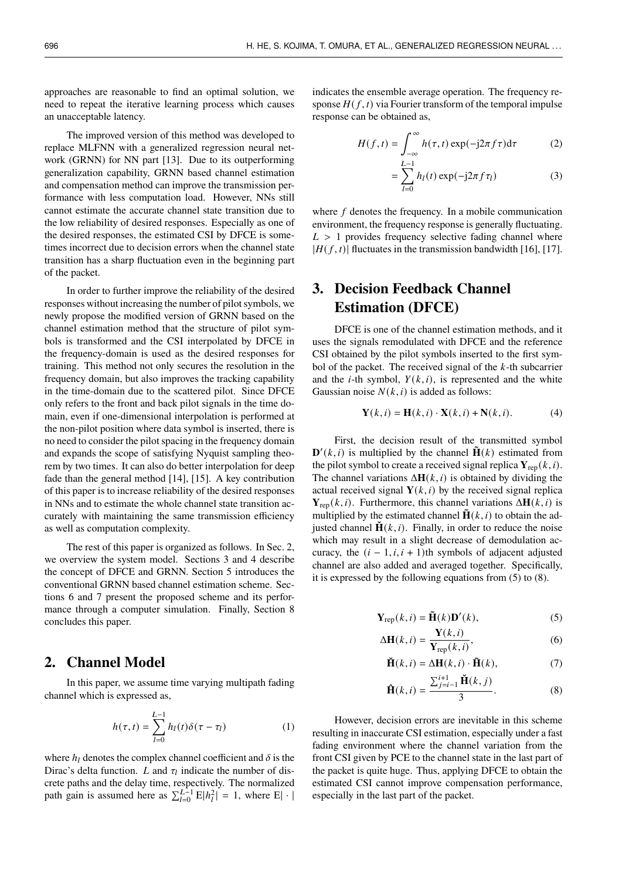approaches are reasonable to find an optimal solution, we need to repeat the iterative learning process which causes an unacceptable latency.

The improved version of this method was developed to replace MLFNN with a generalized regression neural network (GRNN) for NN part [13]. Due to its outperforming generalization capability, GRNN based channel estimation and compensation method can improve the transmission performance with less computation load. However, NNs still cannot estimate the accurate channel state transition due to the low reliability of desired responses. Especially as one of the desired responses, the estimated CSI by DFCE is sometimes incorrect due to decision errors when the channel state transition has a sharp fluctuation even in the beginning part of the packet.

In order to further improve the reliability of the desired responses without increasing the number of pilot symbols, we newly propose the modified version of GRNN based on the channel estimation method that the structure of pilot symbols is transformed and the CSI interpolated by DFCE in the frequency-domain is used as the desired responses for training. This method not only secures the resolution in the frequency domain, but also improves the tracking capability in the time-domain due to the scattered pilot. Since DFCE only refers to the front and back pilot signals in the time domain, even if one-dimensional interpolation is performed at the non-pilot position where data symbol is inserted, there is no need to consider the pilot spacing in the frequency domain and expands the scope of satisfying Nyquist sampling theorem by two times. It can also do better interpolation for deep fade than the general method [14], [15]. A key contribution of this paper is to increase reliability of the desired responses in NNs and to estimate the whole channel state transition accurately with maintaining the same transmission efficiency as well as computation complexity.

The rest of this paper is organized as follows. In Sec. 2, we overview the system model. Sections 3 and 4 describe the concept of DFCE and GRNN. Section 5 introduces the conventional GRNN based channel estimation scheme. Sections 6 and 7 present the proposed scheme and its performance through a computer simulation. Finally, Section 8 concludes this paper.

## **2. Channel Model**

In this paper, we assume time varying multipath fading channel which is expressed as,

$$
h(\tau, t) = \sum_{l=0}^{L-1} h_l(t)\delta(\tau - \tau_l)
$$
 (1)

where  $h_l$  denotes the complex channel coefficient and  $\delta$  is the Dirac's delta function. L and  $\tau_l$  indicate the number of discrete paths and the delay time, respectively. The normalized path gain is assumed here as  $\sum_{l=0}^{L-1} E|h_l^2| = 1$ , where E| · | indicates the ensemble average operation. The frequency response  $H(f, t)$  via Fourier transform of the temporal impulse response can be obtained as,

$$
H(f,t) = \int_{-\infty}^{\infty} h(\tau,t) \exp(-j2\pi f \tau) d\tau
$$
 (2)

$$
= \sum_{l=0}^{L-1} h_l(t) \exp(-j2\pi f \tau_l)
$$
 (3)

where  $f$  denotes the frequency. In a mobile communication environment, the frequency response is generally fluctuating.  $L > 1$  provides frequency selective fading channel where  $|H(f, t)|$  fluctuates in the transmission bandwidth [16], [17].

# **3. Decision Feedback Channel Estimation (DFCE)**

DFCE is one of the channel estimation methods, and it uses the signals remodulated with DFCE and the reference CSI obtained by the pilot symbols inserted to the first symbol of the packet. The received signal of the  $k$ -th subcarrier and the *i*-th symbol,  $Y(k, i)$ , is represented and the white Gaussian noise  $N(k, i)$  is added as follows:

$$
\mathbf{Y}(k,i) = \mathbf{H}(k,i) \cdot \mathbf{X}(k,i) + \mathbf{N}(k,i). \tag{4}
$$

First, the decision result of the transmitted symbol  $\mathbf{D}'(k, i)$  is multiplied by the channel  $\mathbf{\tilde{H}}(k)$  estimated from the pilot symbol to create a received signal replica  $Y_{\text{ren}}(k, i)$ . The channel variations  $\Delta \mathbf{H}(k, i)$  is obtained by dividing the actual received signal  $Y(k, i)$  by the received signal replica  $Y_{\text{ren}}(k, i)$ . Furthermore, this channel variations  $\Delta H(k, i)$  is multiplied by the estimated channel  $\mathbf{H}(k, i)$  to obtain the adjusted channel  $\mathbf{H}(k, i)$ . Finally, in order to reduce the noise which may result in a slight decrease of demodulation accuracy, the  $(i - 1, i, i + 1)$ th symbols of adjacent adjusted channel are also added and averaged together. Specifically, it is expressed by the following equations from (5) to (8).

$$
\mathbf{Y}_{\text{rep}}(k,i) = \tilde{\mathbf{H}}(k)\mathbf{D}'(k),\tag{5}
$$

$$
\Delta \mathbf{H}(k, i) = \frac{\mathbf{Y}(k, i)}{\mathbf{Y}_{\text{rep}}(k, i)},
$$
\n(6)

$$
\check{\mathbf{H}}(k,i) = \Delta \mathbf{H}(k,i) \cdot \tilde{\mathbf{H}}(k),\tag{7}
$$

$$
\widehat{\mathbf{H}}(k,i) = \frac{\sum_{j=i-1}^{i+1} \widecheck{\mathbf{H}}(k,j)}{3}.
$$
 (8)

However, decision errors are inevitable in this scheme resulting in inaccurate CSI estimation, especially under a fast fading environment where the channel variation from the front CSI given by PCE to the channel state in the last part of the packet is quite huge. Thus, applying DFCE to obtain the estimated CSI cannot improve compensation performance, especially in the last part of the packet.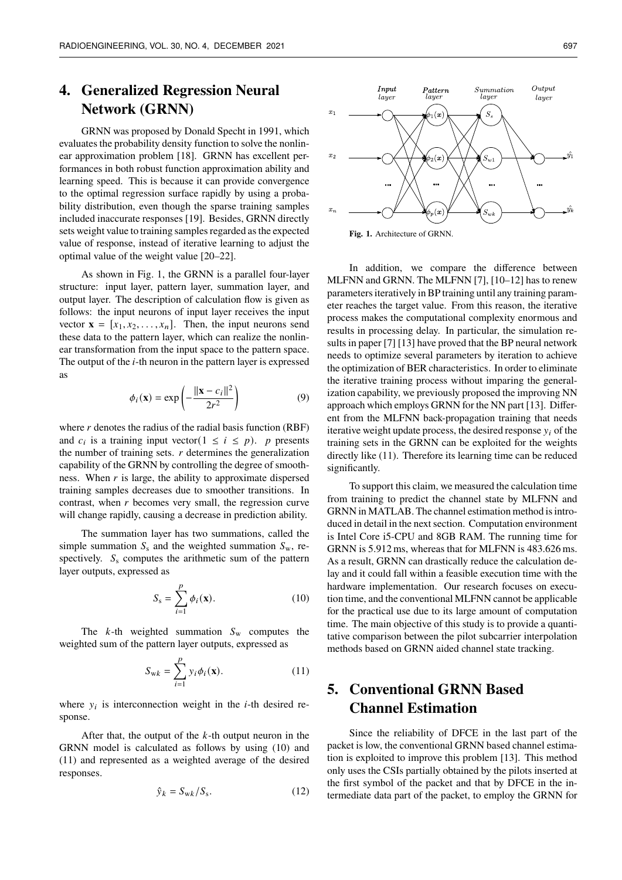# **4. Generalized Regression Neural Network (GRNN)**

GRNN was proposed by Donald Specht in 1991, which evaluates the probability density function to solve the nonlinear approximation problem [18]. GRNN has excellent performances in both robust function approximation ability and learning speed. This is because it can provide convergence to the optimal regression surface rapidly by using a probability distribution, even though the sparse training samples included inaccurate responses [19]. Besides, GRNN directly sets weight value to training samples regarded as the expected value of response, instead of iterative learning to adjust the optimal value of the weight value [20–22].

As shown in Fig. 1, the GRNN is a parallel four-layer structure: input layer, pattern layer, summation layer, and output layer. The description of calculation flow is given as follows: the input neurons of input layer receives the input vector  $\mathbf{x} = [x_1, x_2, \dots, x_n]$ . Then, the input neurons send these data to the pattern layer, which can realize the nonlinear transformation from the input space to the pattern space. The output of the  $i$ -th neuron in the pattern layer is expressed as

$$
\phi_i(\mathbf{x}) = \exp\left(-\frac{\|\mathbf{x} - c_i\|^2}{2r^2}\right) \tag{9}
$$

where  $r$  denotes the radius of the radial basis function (RBF) and  $c_i$  is a training input vector( $1 \le i \le p$ ). p presents the number of training sets.  $r$  determines the generalization capability of the GRNN by controlling the degree of smoothness. When  $r$  is large, the ability to approximate dispersed training samples decreases due to smoother transitions. In contrast, when  $r$  becomes very small, the regression curve will change rapidly, causing a decrease in prediction ability.

The summation layer has two summations, called the simple summation  $S_s$  and the weighted summation  $S_w$ , respectively.  $S_s$  computes the arithmetic sum of the pattern layer outputs, expressed as

$$
S_{\rm s} = \sum_{i=1}^{p} \phi_i(\mathbf{x}). \tag{10}
$$

The  $k$ -th weighted summation  $S_w$  computes the weighted sum of the pattern layer outputs, expressed as

$$
S_{\text{w}k} = \sum_{i=1}^{p} y_i \phi_i(\mathbf{x}).
$$
 (11)

where  $y_i$  is interconnection weight in the *i*-th desired response.

After that, the output of the  $k$ -th output neuron in the GRNN model is calculated as follows by using (10) and (11) and represented as a weighted average of the desired responses.

$$
\hat{y}_k = S_{\text{wk}} / S_{\text{s}}.\tag{12}
$$





In addition, we compare the difference between MLFNN and GRNN. The MLFNN [7], [10–12] has to renew parameters iteratively in BP training until any training parameter reaches the target value. From this reason, the iterative process makes the computational complexity enormous and results in processing delay. In particular, the simulation results in paper [7] [13] have proved that the BP neural network needs to optimize several parameters by iteration to achieve the optimization of BER characteristics. In order to eliminate the iterative training process without imparing the generalization capability, we previously proposed the improving NN approach which employs GRNN for the NN part [13]. Different from the MLFNN back-propagation training that needs iterative weight update process, the desired response  $y_i$  of the training sets in the GRNN can be exploited for the weights directly like (11). Therefore its learning time can be reduced significantly.

To support this claim, we measured the calculation time from training to predict the channel state by MLFNN and GRNN in MATLAB. The channel estimation method is introduced in detail in the next section. Computation environment is Intel Core i5-CPU and 8GB RAM. The running time for GRNN is 5.912 ms, whereas that for MLFNN is 483.626 ms. As a result, GRNN can drastically reduce the calculation delay and it could fall within a feasible execution time with the hardware implementation. Our research focuses on execution time, and the conventional MLFNN cannot be applicable for the practical use due to its large amount of computation time. The main objective of this study is to provide a quantitative comparison between the pilot subcarrier interpolation methods based on GRNN aided channel state tracking.

# **5. Conventional GRNN Based Channel Estimation**

Since the reliability of DFCE in the last part of the packet is low, the conventional GRNN based channel estimation is exploited to improve this problem [13]. This method only uses the CSIs partially obtained by the pilots inserted at the first symbol of the packet and that by DFCE in the intermediate data part of the packet, to employ the GRNN for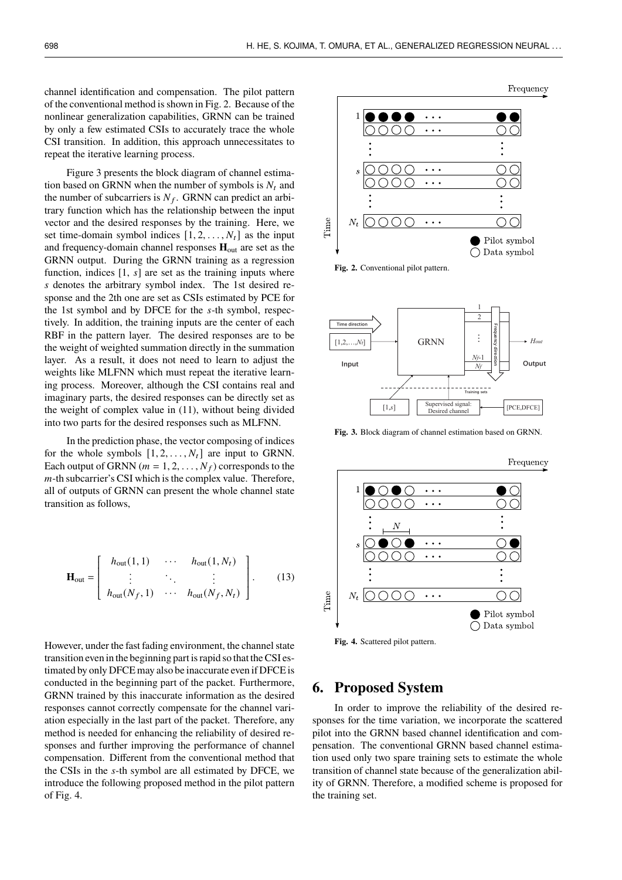channel identification and compensation. The pilot pattern of the conventional method is shown in Fig. 2. Because of the nonlinear generalization capabilities, GRNN can be trained by only a few estimated CSIs to accurately trace the whole CSI transition. In addition, this approach unnecessitates to repeat the iterative learning process.

Figure 3 presents the block diagram of channel estimation based on GRNN when the number of symbols is  $N_t$  and the number of subcarriers is  $N_f$ . GRNN can predict an arbitrary function which has the relationship between the input vector and the desired responses by the training. Here, we set time-domain symbol indices  $[1, 2, \ldots, N_t]$  as the input and frequency-domain channel responses  $H_{out}$  are set as the GRNN output. During the GRNN training as a regression function, indices  $[1, s]$  are set as the training inputs where s denotes the arbitrary symbol index. The 1st desired response and the 2th one are set as CSIs estimated by PCE for the 1st symbol and by DFCE for the  $s$ -th symbol, respectively. In addition, the training inputs are the center of each RBF in the pattern layer. The desired responses are to be the weight of weighted summation directly in the summation layer. As a result, it does not need to learn to adjust the weights like MLFNN which must repeat the iterative learning process. Moreover, although the CSI contains real and imaginary parts, the desired responses can be directly set as the weight of complex value in (11), without being divided into two parts for the desired responses such as MLFNN.

In the prediction phase, the vector composing of indices for the whole symbols  $[1, 2, \ldots, N_t]$  are input to GRNN. Each output of GRNN ( $m = 1, 2, ..., N_f$ ) corresponds to the  $m$ -th subcarrier's CSI which is the complex value. Therefore, all of outputs of GRNN can present the whole channel state transition as follows,

$$
\mathbf{H}_{\text{out}} = \begin{bmatrix} h_{\text{out}}(1,1) & \cdots & h_{\text{out}}(1,N_t) \\ \vdots & \ddots & \vdots \\ h_{\text{out}}(N_f,1) & \cdots & h_{\text{out}}(N_f,N_t) \end{bmatrix} .
$$
 (13)

However, under the fast fading environment, the channel state transition even in the beginning part israpid so that the CSI estimated by only DFCE may also be inaccurate even if DFCE is conducted in the beginning part of the packet. Furthermore, GRNN trained by this inaccurate information as the desired responses cannot correctly compensate for the channel variation especially in the last part of the packet. Therefore, any method is needed for enhancing the reliability of desired responses and further improving the performance of channel compensation. Different from the conventional method that the CSIs in the  $s$ -th symbol are all estimated by DFCE, we introduce the following proposed method in the pilot pattern of Fig. 4.



**Fig. 2.** Conventional pilot pattern.



**Fig. 3.** Block diagram of channel estimation based on GRNN.



**Fig. 4.** Scattered pilot pattern.

#### **6. Proposed System**

In order to improve the reliability of the desired responses for the time variation, we incorporate the scattered pilot into the GRNN based channel identification and compensation. The conventional GRNN based channel estimation used only two spare training sets to estimate the whole transition of channel state because of the generalization ability of GRNN. Therefore, a modified scheme is proposed for the training set.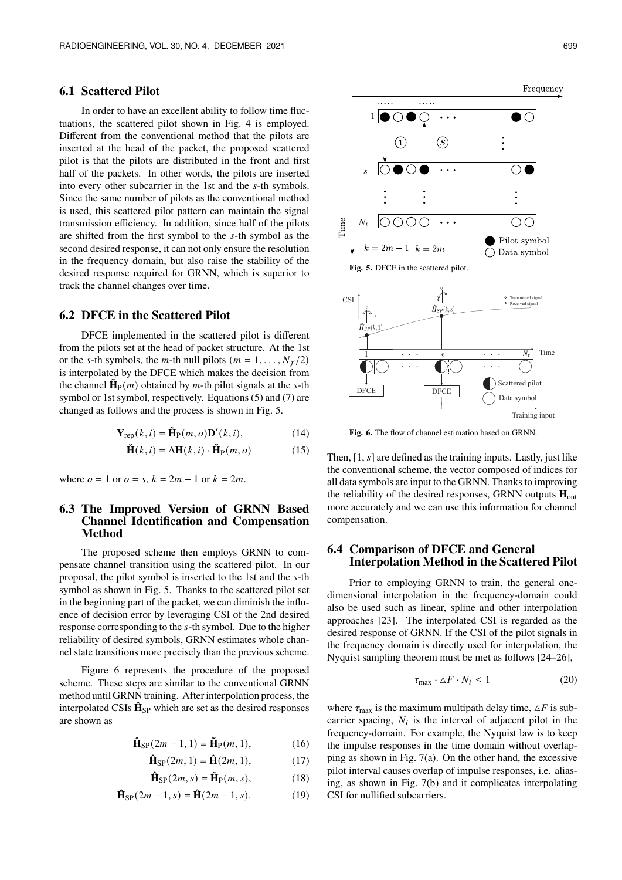#### **6.1 Scattered Pilot**

In order to have an excellent ability to follow time fluctuations, the scattered pilot shown in Fig. 4 is employed. Different from the conventional method that the pilots are inserted at the head of the packet, the proposed scattered pilot is that the pilots are distributed in the front and first half of the packets. In other words, the pilots are inserted into every other subcarrier in the 1st and the s-th symbols. Since the same number of pilots as the conventional method is used, this scattered pilot pattern can maintain the signal transmission efficiency. In addition, since half of the pilots are shifted from the first symbol to the  $s$ -th symbol as the second desired response, it can not only ensure the resolution in the frequency domain, but also raise the stability of the desired response required for GRNN, which is superior to track the channel changes over time.

#### **6.2 DFCE in the Scattered Pilot**

DFCE implemented in the scattered pilot is different from the pilots set at the head of packet structure. At the 1st or the s-th symbols, the *m*-th null pilots ( $m = 1, \ldots, N_f/2$ ) is interpolated by the DFCE which makes the decision from the channel  $\tilde{\mathbf{H}}_{\text{P}}(m)$  obtained by *m*-th pilot signals at the *s*-th symbol or 1st symbol, respectively. Equations (5) and (7) are changed as follows and the process is shown in Fig. 5.

$$
\mathbf{Y}_{\text{rep}}(k,i) = \tilde{\mathbf{H}}_{\text{P}}(m,o)\mathbf{D}'(k,i),\tag{14}
$$

$$
\check{\mathbf{H}}(k,i) = \Delta \mathbf{H}(k,i) \cdot \tilde{\mathbf{H}}_{\mathrm{P}}(m,o)
$$
 (15)

where  $o = 1$  or  $o = s$ ,  $k = 2m - 1$  or  $k = 2m$ .

#### **6.3 The Improved Version of GRNN Based Channel Identification and Compensation Method**

The proposed scheme then employs GRNN to compensate channel transition using the scattered pilot. In our proposal, the pilot symbol is inserted to the 1st and the  $s$ -th symbol as shown in Fig. 5. Thanks to the scattered pilot set in the beginning part of the packet, we can diminish the influence of decision error by leveraging CSI of the 2nd desired response corresponding to the s-th symbol. Due to the higher reliability of desired symbols, GRNN estimates whole channel state transitions more precisely than the previous scheme.

Figure 6 represents the procedure of the proposed scheme. These steps are similar to the conventional GRNN method until GRNN training. After interpolation process, the interpolated CSIs  $\mathbf{\hat{H}}_{\textrm{SP}}$  which are set as the desired responses are shown as

$$
\hat{\mathbf{H}}_{\text{SP}}(2m-1,1) = \tilde{\mathbf{H}}_{\text{P}}(m,1),\tag{16}
$$

$$
\hat{\mathbf{H}}_{\text{SP}}(2m, 1) = \hat{\mathbf{H}}(2m, 1),\tag{17}
$$

$$
\hat{\mathbf{H}}_{\rm SP}(2m, s) = \tilde{\mathbf{H}}_{\rm P}(m, s),\tag{18}
$$

$$
\hat{\mathbf{H}}_{\text{SP}}(2m-1,s) = \hat{\mathbf{H}}(2m-1,s). \tag{19}
$$



**Fig. 5.** DFCE in the scattered pilot.



**Fig. 6.** The flow of channel estimation based on GRNN.

Then,  $[1, s]$  are defined as the training inputs. Lastly, just like the conventional scheme, the vector composed of indices for all data symbols are input to the GRNN. Thanks to improving the reliability of the desired responses, GRNN outputs **H**out more accurately and we can use this information for channel compensation.

#### **6.4 Comparison of DFCE and General Interpolation Method in the Scattered Pilot**

Prior to employing GRNN to train, the general onedimensional interpolation in the frequency-domain could also be used such as linear, spline and other interpolation approaches [23]. The interpolated CSI is regarded as the desired response of GRNN. If the CSI of the pilot signals in the frequency domain is directly used for interpolation, the Nyquist sampling theorem must be met as follows [24–26],

$$
\tau_{\text{max}} \cdot \Delta F \cdot N_i \le 1 \tag{20}
$$

where  $\tau_{\text{max}}$  is the maximum multipath delay time,  $\Delta F$  is subcarrier spacing,  $N_i$  is the interval of adjacent pilot in the frequency-domain. For example, the Nyquist law is to keep the impulse responses in the time domain without overlapping as shown in Fig. 7(a). On the other hand, the excessive pilot interval causes overlap of impulse responses, i.e. aliasing, as shown in Fig. 7(b) and it complicates interpolating CSI for nullified subcarriers.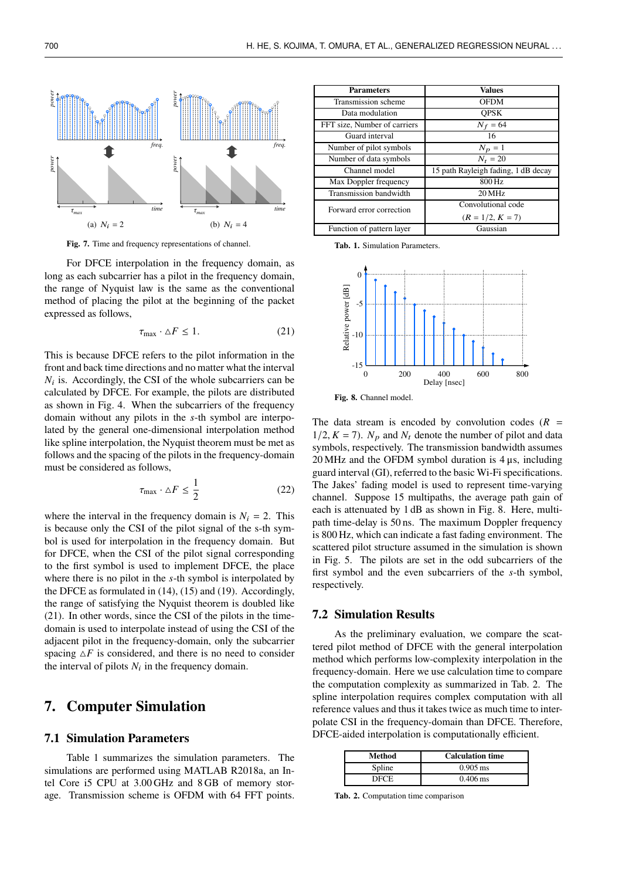

**Fig. 7.** Time and frequency representations of channel.

For DFCE interpolation in the frequency domain, as long as each subcarrier has a pilot in the frequency domain, the range of Nyquist law is the same as the conventional method of placing the pilot at the beginning of the packet expressed as follows,

$$
\tau_{\text{max}} \cdot \Delta F \le 1. \tag{21}
$$

This is because DFCE refers to the pilot information in the front and back time directions and no matter what the interval  $N_i$  is. Accordingly, the CSI of the whole subcarriers can be calculated by DFCE. For example, the pilots are distributed as shown in Fig. 4. When the subcarriers of the frequency domain without any pilots in the  $s$ -th symbol are interpolated by the general one-dimensional interpolation method like spline interpolation, the Nyquist theorem must be met as follows and the spacing of the pilots in the frequency-domain must be considered as follows,

$$
\tau_{\max} \cdot \Delta F \le \frac{1}{2} \tag{22}
$$

where the interval in the frequency domain is  $N_i = 2$ . This is because only the CSI of the pilot signal of the s-th symbol is used for interpolation in the frequency domain. But for DFCE, when the CSI of the pilot signal corresponding to the first symbol is used to implement DFCE, the place where there is no pilot in the  $s$ -th symbol is interpolated by the DFCE as formulated in (14), (15) and (19). Accordingly, the range of satisfying the Nyquist theorem is doubled like (21). In other words, since the CSI of the pilots in the timedomain is used to interpolate instead of using the CSI of the adjacent pilot in the frequency-domain, only the subcarrier spacing  $\Delta F$  is considered, and there is no need to consider the interval of pilots  $N_i$  in the frequency domain.

### **7. Computer Simulation**

#### **7.1 Simulation Parameters**

Table 1 summarizes the simulation parameters. The simulations are performed using MATLAB R2018a, an Intel Core i5 CPU at 3.00 GHz and 8 GB of memory storage. Transmission scheme is OFDM with 64 FFT points.

| <b>Parameters</b>            | <b>Values</b>                       |
|------------------------------|-------------------------------------|
| Transmission scheme          | <b>OFDM</b>                         |
| Data modulation              | <b>OPSK</b>                         |
| FFT size, Number of carriers | $N_f = 64$                          |
| Guard interval               | 16                                  |
| Number of pilot symbols      | $N_p = 1$                           |
| Number of data symbols       | $N_t = 20$                          |
| Channel model                | 15 path Rayleigh fading, 1 dB decay |
| Max Doppler frequency        | 800 Hz                              |
| Transmission bandwidth       | $20$ MHz                            |
| Forward error correction     | Convolutional code                  |
|                              | $(R = 1/2, K = 7)$                  |
| Function of pattern layer    | Gaussian                            |

**Tab. 1.** Simulation Parameters.



**Fig. 8.** Channel model.

The data stream is encoded by convolution codes  $(R =$  $1/2$ ,  $K = 7$ ).  $N_p$  and  $N_t$  denote the number of pilot and data symbols, respectively. The transmission bandwidth assumes  $20 \text{ MHz}$  and the OFDM symbol duration is  $4 \mu s$ , including guard interval (GI), referred to the basic Wi-Fi specifications. The Jakes' fading model is used to represent time-varying channel. Suppose 15 multipaths, the average path gain of each is attenuated by 1 dB as shown in Fig. 8. Here, multipath time-delay is 50 ns. The maximum Doppler frequency is 800 Hz, which can indicate a fast fading environment. The scattered pilot structure assumed in the simulation is shown in Fig. 5. The pilots are set in the odd subcarriers of the first symbol and the even subcarriers of the  $s$ -th symbol, respectively.

#### **7.2 Simulation Results**

As the preliminary evaluation, we compare the scattered pilot method of DFCE with the general interpolation method which performs low-complexity interpolation in the frequency-domain. Here we use calculation time to compare the computation complexity as summarized in Tab. 2. The spline interpolation requires complex computation with all reference values and thus it takes twice as much time to interpolate CSI in the frequency-domain than DFCE. Therefore, DFCE-aided interpolation is computationally efficient.

| Method | <b>Calculation time</b> |
|--------|-------------------------|
| Spline | $0.905 \,\mathrm{ms}$   |
| DFCE.  | $0.406 \,\mathrm{ms}$   |

**Tab. 2.** Computation time comparison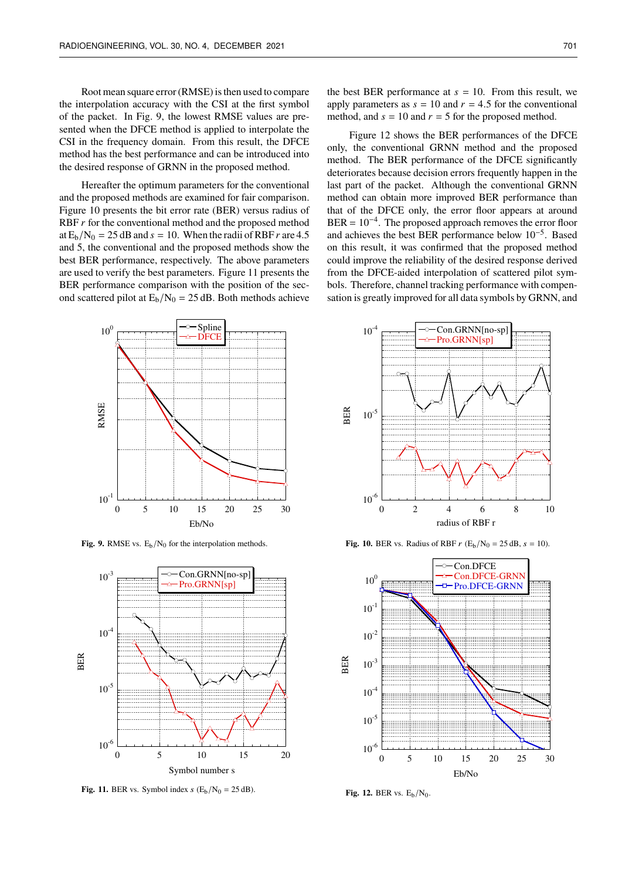Root mean square error (RMSE) is then used to compare the interpolation accuracy with the CSI at the first symbol of the packet. In Fig. 9, the lowest RMSE values are presented when the DFCE method is applied to interpolate the CSI in the frequency domain. From this result, the DFCE method has the best performance and can be introduced into the desired response of GRNN in the proposed method.

Hereafter the optimum parameters for the conventional and the proposed methods are examined for fair comparison. Figure 10 presents the bit error rate (BER) versus radius of RBF  $r$  for the conventional method and the proposed method at  $E_b/N_0 = 25$  dB and  $s = 10$ . When the radii of RBF r are 4.5 and 5, the conventional and the proposed methods show the best BER performance, respectively. The above parameters are used to verify the best parameters. Figure 11 presents the BER performance comparison with the position of the second scattered pilot at  $E_b/N_0 = 25$  dB. Both methods achieve

the best BER performance at  $s = 10$ . From this result, we apply parameters as  $s = 10$  and  $r = 4.5$  for the conventional method, and  $s = 10$  and  $r = 5$  for the proposed method.

Figure 12 shows the BER performances of the DFCE only, the conventional GRNN method and the proposed method. The BER performance of the DFCE significantly deteriorates because decision errors frequently happen in the last part of the packet. Although the conventional GRNN method can obtain more improved BER performance than that of the DFCE only, the error floor appears at around  $BER = 10^{-4}$ . The proposed approach removes the error floor and achieves the best BER performance below 10−<sup>5</sup> . Based on this result, it was confirmed that the proposed method could improve the reliability of the desired response derived from the DFCE-aided interpolation of scattered pilot symbols. Therefore, channel tracking performance with compensation is greatly improved for all data symbols by GRNN, and



**Fig. 9.** RMSE vs.  $E_b/N_0$  for the interpolation methods.



Fig. 11. BER vs. Symbol index  $s$  ( $E_b/N_0 = 25$  dB).



**Fig. 10.** BER vs. Radius of RBF  $r$  (E<sub>b</sub>/N<sub>0</sub> = 25 dB,  $s = 10$ ).



Fig. 12. BER vs.  $E_b/N_0$ .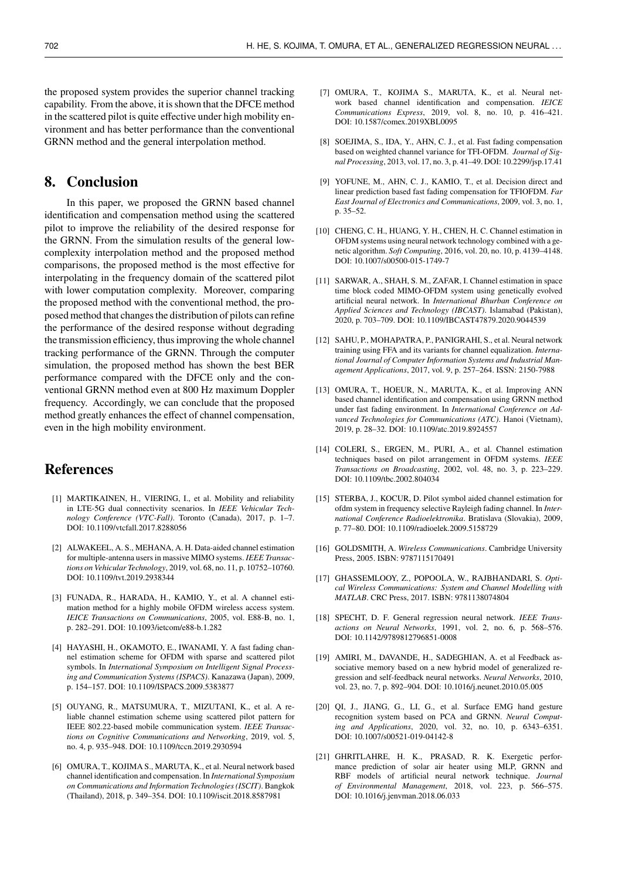the proposed system provides the superior channel tracking capability. From the above, it is shown that the DFCE method in the scattered pilot is quite effective under high mobility environment and has better performance than the conventional GRNN method and the general interpolation method.

### **8. Conclusion**

In this paper, we proposed the GRNN based channel identification and compensation method using the scattered pilot to improve the reliability of the desired response for the GRNN. From the simulation results of the general lowcomplexity interpolation method and the proposed method comparisons, the proposed method is the most effective for interpolating in the frequency domain of the scattered pilot with lower computation complexity. Moreover, comparing the proposed method with the conventional method, the proposed method that changes the distribution of pilots can refine the performance of the desired response without degrading the transmission efficiency, thus improving the whole channel tracking performance of the GRNN. Through the computer simulation, the proposed method has shown the best BER performance compared with the DFCE only and the conventional GRNN method even at 800 Hz maximum Doppler frequency. Accordingly, we can conclude that the proposed method greatly enhances the effect of channel compensation, even in the high mobility environment.

## **References**

- [1] MARTIKAINEN, H., VIERING, I., et al. Mobility and reliability in LTE-5G dual connectivity scenarios. In *IEEE Vehicular Technology Conference (VTC-Fall)*. Toronto (Canada), 2017, p. 1–7. DOI: 10.1109/vtcfall.2017.8288056
- [2] ALWAKEEL, A. S., MEHANA, A. H. Data-aided channel estimation for multiple-antenna users in massive MIMO systems. *IEEE Transactions on Vehicular Technology*, 2019, vol. 68, no. 11, p. 10752–10760. DOI: 10.1109/tvt.2019.2938344
- [3] FUNADA, R., HARADA, H., KAMIO, Y., et al. A channel estimation method for a highly mobile OFDM wireless access system. *IEICE Transactions on Communications*, 2005, vol. E88-B, no. 1, p. 282–291. DOI: 10.1093/ietcom/e88-b.1.282
- [4] HAYASHI, H., OKAMOTO, E., IWANAMI, Y. A fast fading channel estimation scheme for OFDM with sparse and scattered pilot symbols. In *International Symposium on Intelligent Signal Processing and Communication Systems (ISPACS)*. Kanazawa (Japan), 2009, p. 154–157. DOI: 10.1109/ISPACS.2009.5383877
- [5] OUYANG, R., MATSUMURA, T., MIZUTANI, K., et al. A reliable channel estimation scheme using scattered pilot pattern for IEEE 802.22-based mobile communication system. *IEEE Transactions on Cognitive Communications and Networking*, 2019, vol. 5, no. 4, p. 935–948. DOI: 10.1109/tccn.2019.2930594
- [6] OMURA, T., KOJIMA S., MARUTA, K., et al. Neural network based channel identification and compensation. In *International Symposium on Communications and Information Technologies (ISCIT)*. Bangkok (Thailand), 2018, p. 349–354. DOI: 10.1109/iscit.2018.8587981
- [7] OMURA, T., KOJIMA S., MARUTA, K., et al. Neural network based channel identification and compensation. *IEICE Communications Express*, 2019, vol. 8, no. 10, p. 416–421. DOI: 10.1587/comex.2019XBL0095
- [8] SOEJIMA, S., IDA, Y., AHN, C. J., et al. Fast fading compensation based on weighted channel variance for TFI-OFDM. *Journal of Signal Processing*, 2013, vol. 17, no. 3, p. 41–49. DOI: 10.2299/jsp.17.41
- [9] YOFUNE, M., AHN, C. J., KAMIO, T., et al. Decision direct and linear prediction based fast fading compensation for TFIOFDM. *Far East Journal of Electronics and Communications*, 2009, vol. 3, no. 1, p. 35–52.
- [10] CHENG, C. H., HUANG, Y. H., CHEN, H. C. Channel estimation in OFDM systems using neural network technology combined with a genetic algorithm. *Soft Computing*, 2016, vol. 20, no. 10, p. 4139–4148. DOI: 10.1007/s00500-015-1749-7
- [11] SARWAR, A., SHAH, S. M., ZAFAR, I. Channel estimation in space time block coded MIMO-OFDM system using genetically evolved artificial neural network. In *International Bhurban Conference on Applied Sciences and Technology (IBCAST)*. Islamabad (Pakistan), 2020, p. 703–709. DOI: 10.1109/IBCAST47879.2020.9044539
- [12] SAHU, P., MOHAPATRA, P., PANIGRAHI, S., et al. Neural network training using FFA and its variants for channel equalization. *International Journal of Computer Information Systems and Industrial Management Applications*, 2017, vol. 9, p. 257–264. ISSN: 2150-7988
- [13] OMURA, T., HOEUR, N., MARUTA, K., et al. Improving ANN based channel identification and compensation using GRNN method under fast fading environment. In *International Conference on Advanced Technologies for Communications (ATC)*. Hanoi (Vietnam), 2019, p. 28–32. DOI: 10.1109/atc.2019.8924557
- [14] COLERI, S., ERGEN, M., PURI, A., et al. Channel estimation techniques based on pilot arrangement in OFDM systems. *IEEE Transactions on Broadcasting*, 2002, vol. 48, no. 3, p. 223–229. DOI: 10.1109/tbc.2002.804034
- [15] STERBA, J., KOCUR, D. Pilot symbol aided channel estimation for ofdm system in frequency selective Rayleigh fading channel. In *International Conference Radioelektronika*. Bratislava (Slovakia), 2009, p. 77–80. DOI: 10.1109/radioelek.2009.5158729
- [16] GOLDSMITH, A. *Wireless Communications*. Cambridge University Press, 2005. ISBN: 9787115170491
- [17] GHASSEMLOOY, Z., POPOOLA, W., RAJBHANDARI, S. *Optical Wireless Communications: System and Channel Modelling with MATLAB*. CRC Press, 2017. ISBN: 9781138074804
- [18] SPECHT, D. F. General regression neural network. *IEEE Transactions on Neural Networks*, 1991, vol. 2, no. 6, p. 568–576. DOI: 10.1142/9789812796851-0008
- [19] AMIRI, M., DAVANDE, H., SADEGHIAN, A. et al Feedback associative memory based on a new hybrid model of generalized regression and self-feedback neural networks. *Neural Networks*, 2010, vol. 23, no. 7, p. 892–904. DOI: 10.1016/j.neunet.2010.05.005
- [20] QI, J., JIANG, G., LI, G., et al. Surface EMG hand gesture recognition system based on PCA and GRNN. *Neural Computing and Applications*, 2020, vol. 32, no. 10, p. 6343–6351. DOI: 10.1007/s00521-019-04142-8
- [21] GHRITLAHRE, H. K., PRASAD, R. K. Exergetic performance prediction of solar air heater using MLP, GRNN and RBF models of artificial neural network technique. *Journal of Environmental Management*, 2018, vol. 223, p. 566–575. DOI: 10.1016/j.jenvman.2018.06.033